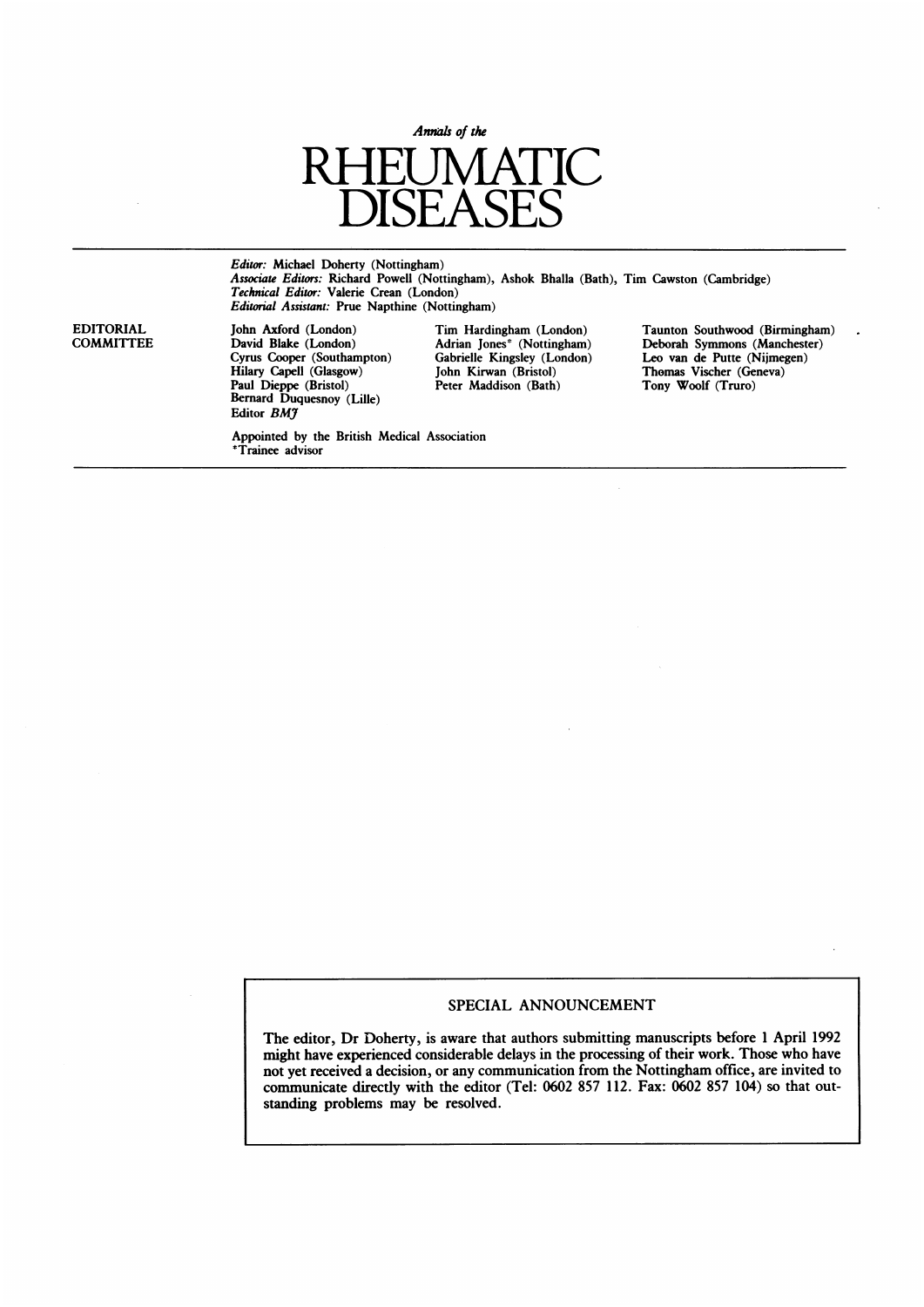

Editor: Michael Doherty (Nottingham) Associate Editors: Richard Powell (Nottingham), Ashok Bhalla (Bath), Tim Cawston (Cambridge) Technical Editor: Valerie Crean (London) Editorial Assistant: Prue Napthine (Nottingham)

Hilary Capell (Glasgow) John Kirwan (Bristol) Thomas Vischer (Geneval) John Kirwan (Bristol) Thomas Vischer (Ge<br>Paul Dieppe (Bristol) Peter Maddison (Bath) Tony Woolf (Truro) Paul Dieppe (Bristol) Peter Maddison (Bath) Tony Woolf (Truro) Bernard Duquesnoy (Lille) Editor **BM**7

\*Trainee advisor

Appointed by the British Medical Association

EDITORIAL John Axford (London) Tim Hardingham (London) Taunton Southwood (Birmingham)<br>COMMITTEE David Blake (London) Adrian Jones\* (Nottingham) Deborah Symmons (Manchester) David Blake (London) Adrian Jones\* (Nottingham) Deborah Symmons (Manchester)<br>Cyrus Cooper (Southampton) Gabrielle Kingsley (London) Leo van de Putte (Nijmegen) Gabrielle Kingsley (London) Leo van de Putte (Nijmegen)<br>John Kirwan (Bristol) Thomas Vischer (Geneva)

l.

# SPECIAL ANNOUNCEMENT

The editor, Dr Doherty, is aware that authors submitting manuscripts before <sup>1</sup> April 1992 might have experienced considerable delays in the processing of their work. Those who have not yet received a decision, or any communication from the Nottingham office, are invited to communicate directly with the editor (Tel: 0602 857 112. Fax: 0602 857 104) so that outstanding problems may be resolved.